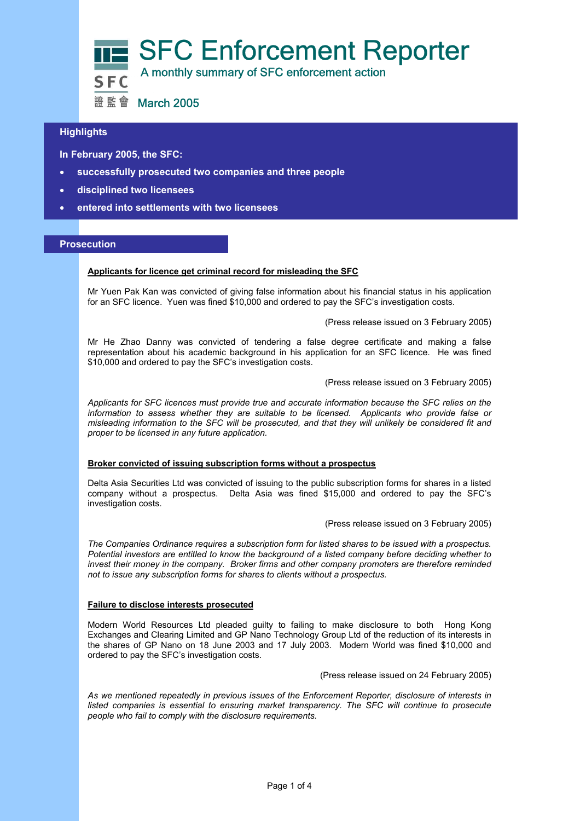

# **Highlights**

 **In February 2005, the SFC:** 

- **successfully prosecuted two companies and three people**
- **disciplined two licensees**
- **entered into settlements with two licensees**

#### **Prosecution**

# **Applicants for licence get criminal record for misleading the SFC**

Mr Yuen Pak Kan was convicted of giving false information about his financial status in his application for an SFC licence. Yuen was fined \$10,000 and ordered to pay the SFC's investigation costs.

#### (Press release issued on 3 February 2005)

Mr He Zhao Danny was convicted of tendering a false degree certificate and making a false representation about his academic background in his application for an SFC licence. He was fined \$10,000 and ordered to pay the SFC's investigation costs.

#### (Press release issued on 3 February 2005)

*Applicants for SFC licences must provide true and accurate information because the SFC relies on the information to assess whether they are suitable to be licensed. Applicants who provide false or misleading information to the SFC will be prosecuted, and that they will unlikely be considered fit and proper to be licensed in any future application.* 

## **Broker convicted of issuing subscription forms without a prospectus**

Delta Asia Securities Ltd was convicted of issuing to the public subscription forms for shares in a listed company without a prospectus. Delta Asia was fined \$15,000 and ordered to pay the SFC's investigation costs.

#### (Press release issued on 3 February 2005)

*The Companies Ordinance requires a subscription form for listed shares to be issued with a prospectus. Potential investors are entitled to know the background of a listed company before deciding whether to invest their money in the company. Broker firms and other company promoters are therefore reminded not to issue any subscription forms for shares to clients without a prospectus.* 

#### **Failure to disclose interests prosecuted**

Modern World Resources Ltd pleaded guilty to failing to make disclosure to both Hong Kong Exchanges and Clearing Limited and GP Nano Technology Group Ltd of the reduction of its interests in the shares of GP Nano on 18 June 2003 and 17 July 2003. Modern World was fined \$10,000 and ordered to pay the SFC's investigation costs.

(Press release issued on 24 February 2005)

*As we mentioned repeatedly in previous issues of the Enforcement Reporter, disclosure of interests in listed companies is essential to ensuring market transparency. The SFC will continue to prosecute people who fail to comply with the disclosure requirements.*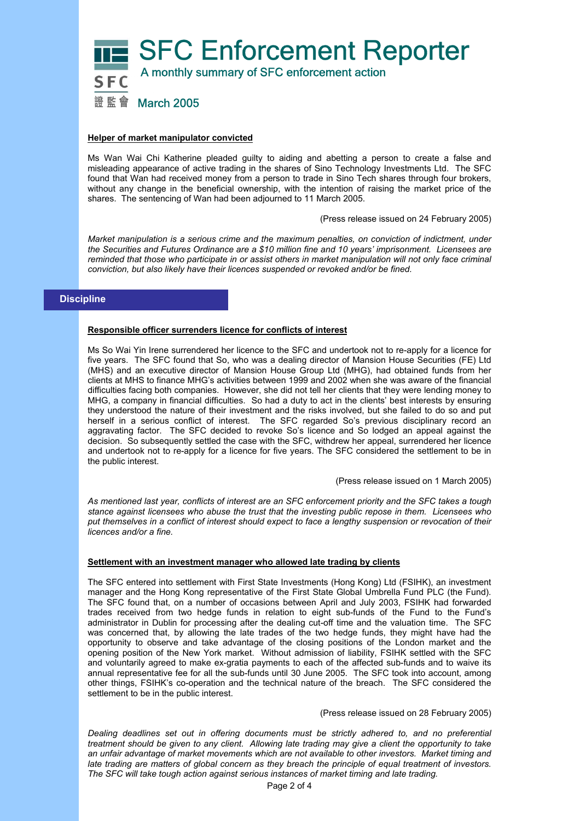

### **Helper of market manipulator convicted**

Ms Wan Wai Chi Katherine pleaded guilty to aiding and abetting a person to create a false and misleading appearance of active trading in the shares of Sino Technology Investments Ltd. The SFC found that Wan had received money from a person to trade in Sino Tech shares through four brokers, without any change in the beneficial ownership, with the intention of raising the market price of the shares. The sentencing of Wan had been adjourned to 11 March 2005.

(Press release issued on 24 February 2005)

*Market manipulation is a serious crime and the maximum penalties, on conviction of indictment, under the Securities and Futures Ordinance are a \$10 million fine and 10 years' imprisonment. Licensees are reminded that those who participate in or assist others in market manipulation will not only face criminal conviction, but also likely have their licences suspended or revoked and/or be fined.* 

## **Discipline**

### **Responsible officer surrenders licence for conflicts of interest**

Ms So Wai Yin Irene surrendered her licence to the SFC and undertook not to re-apply for a licence for five years. The SFC found that So, who was a dealing director of Mansion House Securities (FE) Ltd (MHS) and an executive director of Mansion House Group Ltd (MHG), had obtained funds from her clients at MHS to finance MHG's activities between 1999 and 2002 when she was aware of the financial difficulties facing both companies. However, she did not tell her clients that they were lending money to MHG, a company in financial difficulties. So had a duty to act in the clients' best interests by ensuring they understood the nature of their investment and the risks involved, but she failed to do so and put herself in a serious conflict of interest. The SFC regarded So's previous disciplinary record an aggravating factor. The SFC decided to revoke So's licence and So lodged an appeal against the decision. So subsequently settled the case with the SFC, withdrew her appeal, surrendered her licence and undertook not to re-apply for a licence for five years. The SFC considered the settlement to be in the public interest.

(Press release issued on 1 March 2005)

*As mentioned last year, conflicts of interest are an SFC enforcement priority and the SFC takes a tough stance against licensees who abuse the trust that the investing public repose in them. Licensees who put themselves in a conflict of interest should expect to face a lengthy suspension or revocation of their licences and/or a fine.* 

## **Settlement with an investment manager who allowed late trading by clients**

The SFC entered into settlement with First State Investments (Hong Kong) Ltd (FSIHK), an investment manager and the Hong Kong representative of the First State Global Umbrella Fund PLC (the Fund). The SFC found that, on a number of occasions between April and July 2003, FSIHK had forwarded trades received from two hedge funds in relation to eight sub-funds of the Fund to the Fund's administrator in Dublin for processing after the dealing cut-off time and the valuation time. The SFC was concerned that, by allowing the late trades of the two hedge funds, they might have had the opportunity to observe and take advantage of the closing positions of the London market and the opening position of the New York market. Without admission of liability, FSIHK settled with the SFC and voluntarily agreed to make ex-gratia payments to each of the affected sub-funds and to waive its annual representative fee for all the sub-funds until 30 June 2005. The SFC took into account, among other things, FSIHK's co-operation and the technical nature of the breach. The SFC considered the settlement to be in the public interest.

(Press release issued on 28 February 2005)

*Dealing deadlines set out in offering documents must be strictly adhered to, and no preferential treatment should be given to any client. Allowing late trading may give a client the opportunity to take an unfair advantage of market movements which are not available to other investors. Market timing and late trading are matters of global concern as they breach the principle of equal treatment of investors. The SFC will take tough action against serious instances of market timing and late trading.*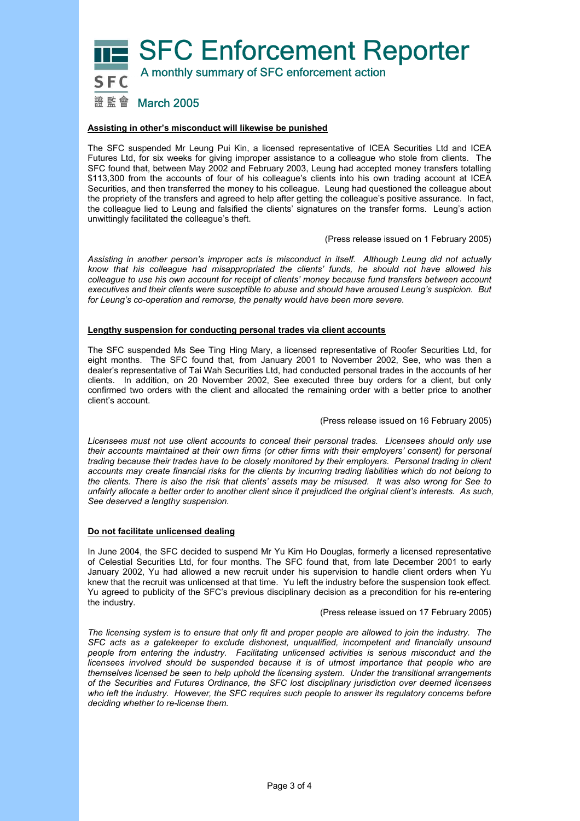**SFC Enforcement Reporter**  A monthly summary of SFC enforcement action 證監會 March 2005

## **Assisting in other's misconduct will likewise be punished**

The SFC suspended Mr Leung Pui Kin, a licensed representative of ICEA Securities Ltd and ICEA Futures Ltd, for six weeks for giving improper assistance to a colleague who stole from clients. The SFC found that, between May 2002 and February 2003, Leung had accepted money transfers totalling \$113,300 from the accounts of four of his colleague's clients into his own trading account at ICEA Securities, and then transferred the money to his colleague. Leung had questioned the colleague about the propriety of the transfers and agreed to help after getting the colleague's positive assurance. In fact, the colleague lied to Leung and falsified the clients' signatures on the transfer forms. Leung's action unwittingly facilitated the colleague's theft.

(Press release issued on 1 February 2005)

*Assisting in another person's improper acts is misconduct in itself. Although Leung did not actually know that his colleague had misappropriated the clients' funds, he should not have allowed his colleague to use his own account for receipt of clients' money because fund transfers between account executives and their clients were susceptible to abuse and should have aroused Leung's suspicion. But for Leung's co-operation and remorse, the penalty would have been more severe.* 

#### **Lengthy suspension for conducting personal trades via client accounts**

The SFC suspended Ms See Ting Hing Mary, a licensed representative of Roofer Securities Ltd, for eight months. The SFC found that, from January 2001 to November 2002, See, who was then a dealer's representative of Tai Wah Securities Ltd, had conducted personal trades in the accounts of her clients. In addition, on 20 November 2002, See executed three buy orders for a client, but only confirmed two orders with the client and allocated the remaining order with a better price to another client's account.

(Press release issued on 16 February 2005)

*Licensees must not use client accounts to conceal their personal trades. Licensees should only use their accounts maintained at their own firms (or other firms with their employers' consent) for personal trading because their trades have to be closely monitored by their employers. Personal trading in client accounts may create financial risks for the clients by incurring trading liabilities which do not belong to the clients. There is also the risk that clients' assets may be misused. It was also wrong for See to unfairly allocate a better order to another client since it prejudiced the original client's interests. As such, See deserved a lengthy suspension.* 

### **Do not facilitate unlicensed dealing**

In June 2004, the SFC decided to suspend Mr Yu Kim Ho Douglas, formerly a licensed representative of Celestial Securities Ltd, for four months. The SFC found that, from late December 2001 to early January 2002, Yu had allowed a new recruit under his supervision to handle client orders when Yu knew that the recruit was unlicensed at that time. Yu left the industry before the suspension took effect. Yu agreed to publicity of the SFC's previous disciplinary decision as a precondition for his re-entering the industry.

(Press release issued on 17 February 2005)

*The licensing system is to ensure that only fit and proper people are allowed to join the industry. The SFC acts as a gatekeeper to exclude dishonest, unqualified, incompetent and financially unsound people from entering the industry. Facilitating unlicensed activities is serious misconduct and the*  licensees involved should be suspended because it is of utmost importance that people who are *themselves licensed be seen to help uphold the licensing system. Under the transitional arrangements of the Securities and Futures Ordinance, the SFC lost disciplinary jurisdiction over deemed licensees who left the industry. However, the SFC requires such people to answer its regulatory concerns before deciding whether to re-license them.*